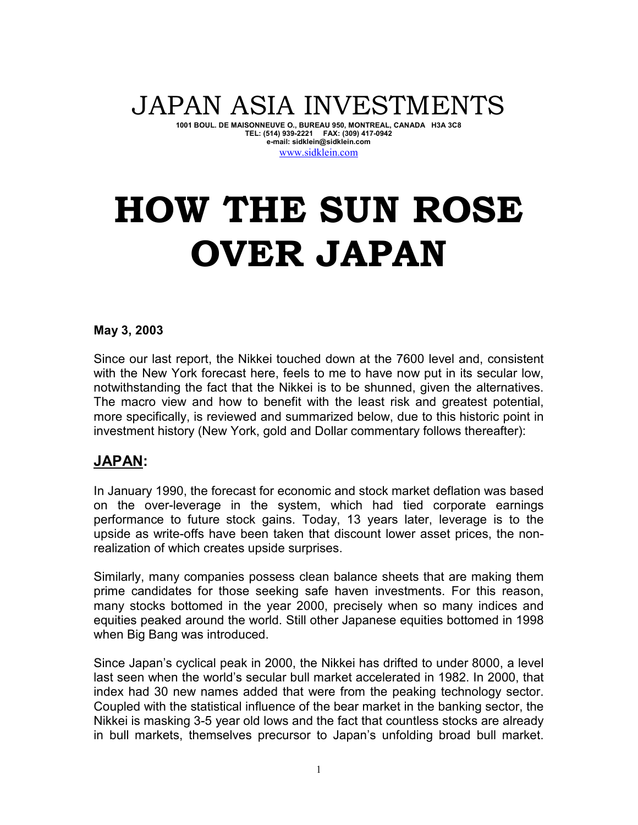## JAPAN ASIA INVESTMENTS

**1001 BOUL. DE MAISONNEUVE O., BUREAU 950, MONTREAL, CANADA H3A 3C8 TEL: (514) 939-2221 FAX: (309) 417-0942 e-mail: sidklein@sidklein.com** 

#### www.sidklein.com

# **HOW THE SUN ROSE OVER JAPAN**

#### **May 3, 2003**

Since our last report, the Nikkei touched down at the 7600 level and, consistent with the New York forecast here, feels to me to have now put in its secular low, notwithstanding the fact that the Nikkei is to be shunned, given the alternatives. The macro view and how to benefit with the least risk and greatest potential, more specifically, is reviewed and summarized below, due to this historic point in investment history (New York, gold and Dollar commentary follows thereafter):

### **JAPAN:**

In January 1990, the forecast for economic and stock market deflation was based on the over-leverage in the system, which had tied corporate earnings performance to future stock gains. Today, 13 years later, leverage is to the upside as write-offs have been taken that discount lower asset prices, the nonrealization of which creates upside surprises.

Similarly, many companies possess clean balance sheets that are making them prime candidates for those seeking safe haven investments. For this reason, many stocks bottomed in the year 2000, precisely when so many indices and equities peaked around the world. Still other Japanese equities bottomed in 1998 when Big Bang was introduced.

Since Japan's cyclical peak in 2000, the Nikkei has drifted to under 8000, a level last seen when the world's secular bull market accelerated in 1982. In 2000, that index had 30 new names added that were from the peaking technology sector. Coupled with the statistical influence of the bear market in the banking sector, the Nikkei is masking 3-5 year old lows and the fact that countless stocks are already in bull markets, themselves precursor to Japan's unfolding broad bull market.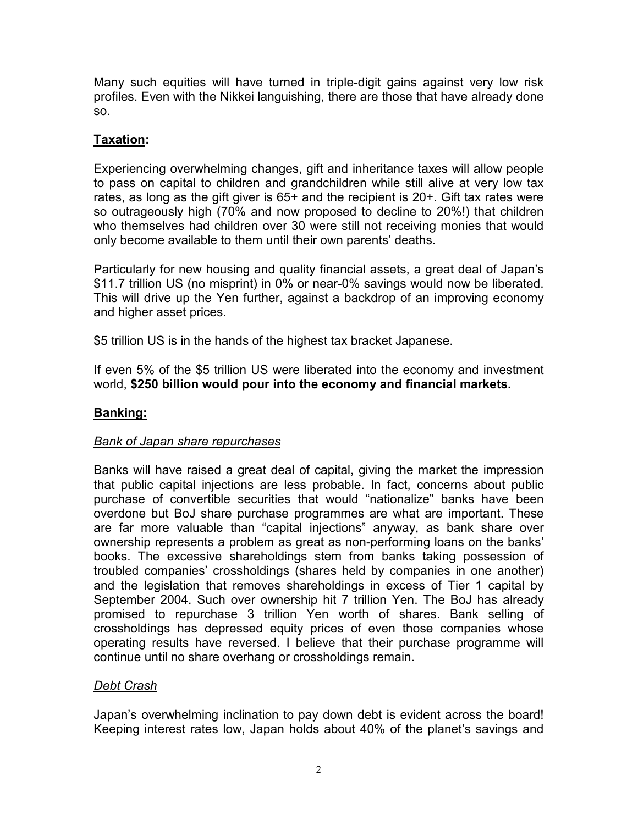Many such equities will have turned in triple-digit gains against very low risk profiles. Even with the Nikkei languishing, there are those that have already done so.

#### **Taxation:**

Experiencing overwhelming changes, gift and inheritance taxes will allow people to pass on capital to children and grandchildren while still alive at very low tax rates, as long as the gift giver is 65+ and the recipient is 20+. Gift tax rates were so outrageously high (70% and now proposed to decline to 20%!) that children who themselves had children over 30 were still not receiving monies that would only become available to them until their own parents' deaths.

Particularly for new housing and quality financial assets, a great deal of Japan's \$11.7 trillion US (no misprint) in 0% or near-0% savings would now be liberated. This will drive up the Yen further, against a backdrop of an improving economy and higher asset prices.

\$5 trillion US is in the hands of the highest tax bracket Japanese.

If even 5% of the \$5 trillion US were liberated into the economy and investment world, **\$250 billion would pour into the economy and financial markets.** 

#### **Banking:**

#### *Bank of Japan share repurchases*

Banks will have raised a great deal of capital, giving the market the impression that public capital injections are less probable. In fact, concerns about public purchase of convertible securities that would "nationalize" banks have been overdone but BoJ share purchase programmes are what are important. These are far more valuable than "capital injections" anyway, as bank share over ownership represents a problem as great as non-performing loans on the banks' books. The excessive shareholdings stem from banks taking possession of troubled companies' crossholdings (shares held by companies in one another) and the legislation that removes shareholdings in excess of Tier 1 capital by September 2004. Such over ownership hit 7 trillion Yen. The BoJ has already promised to repurchase 3 trillion Yen worth of shares. Bank selling of crossholdings has depressed equity prices of even those companies whose operating results have reversed. I believe that their purchase programme will continue until no share overhang or crossholdings remain.

#### *Debt Crash*

Japan's overwhelming inclination to pay down debt is evident across the board! Keeping interest rates low, Japan holds about 40% of the planet's savings and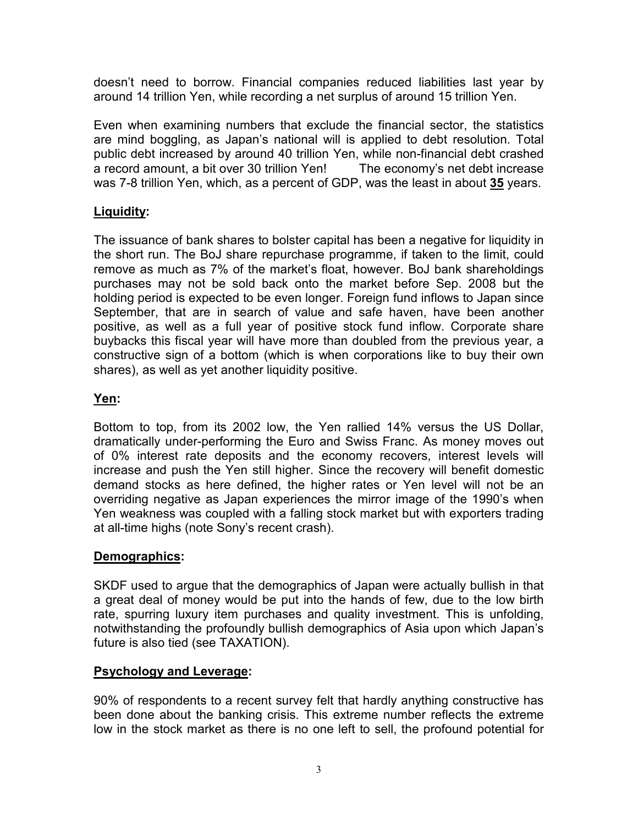doesn't need to borrow. Financial companies reduced liabilities last year by around 14 trillion Yen, while recording a net surplus of around 15 trillion Yen.

Even when examining numbers that exclude the financial sector, the statistics are mind boggling, as Japan's national will is applied to debt resolution. Total public debt increased by around 40 trillion Yen, while non-financial debt crashed a record amount, a bit over 30 trillion Yen! The economy's net debt increase was 7-8 trillion Yen, which, as a percent of GDP, was the least in about **35** years.

#### **Liquidity:**

The issuance of bank shares to bolster capital has been a negative for liquidity in the short run. The BoJ share repurchase programme, if taken to the limit, could remove as much as 7% of the market's float, however. BoJ bank shareholdings purchases may not be sold back onto the market before Sep. 2008 but the holding period is expected to be even longer. Foreign fund inflows to Japan since September, that are in search of value and safe haven, have been another positive, as well as a full year of positive stock fund inflow. Corporate share buybacks this fiscal year will have more than doubled from the previous year, a constructive sign of a bottom (which is when corporations like to buy their own shares), as well as yet another liquidity positive.

#### **Yen:**

Bottom to top, from its 2002 low, the Yen rallied 14% versus the US Dollar, dramatically under-performing the Euro and Swiss Franc. As money moves out of 0% interest rate deposits and the economy recovers, interest levels will increase and push the Yen still higher. Since the recovery will benefit domestic demand stocks as here defined, the higher rates or Yen level will not be an overriding negative as Japan experiences the mirror image of the 1990's when Yen weakness was coupled with a falling stock market but with exporters trading at all-time highs (note Sony's recent crash).

#### **Demographics:**

SKDF used to argue that the demographics of Japan were actually bullish in that a great deal of money would be put into the hands of few, due to the low birth rate, spurring luxury item purchases and quality investment. This is unfolding, notwithstanding the profoundly bullish demographics of Asia upon which Japan's future is also tied (see TAXATION).

#### **Psychology and Leverage:**

90% of respondents to a recent survey felt that hardly anything constructive has been done about the banking crisis. This extreme number reflects the extreme low in the stock market as there is no one left to sell, the profound potential for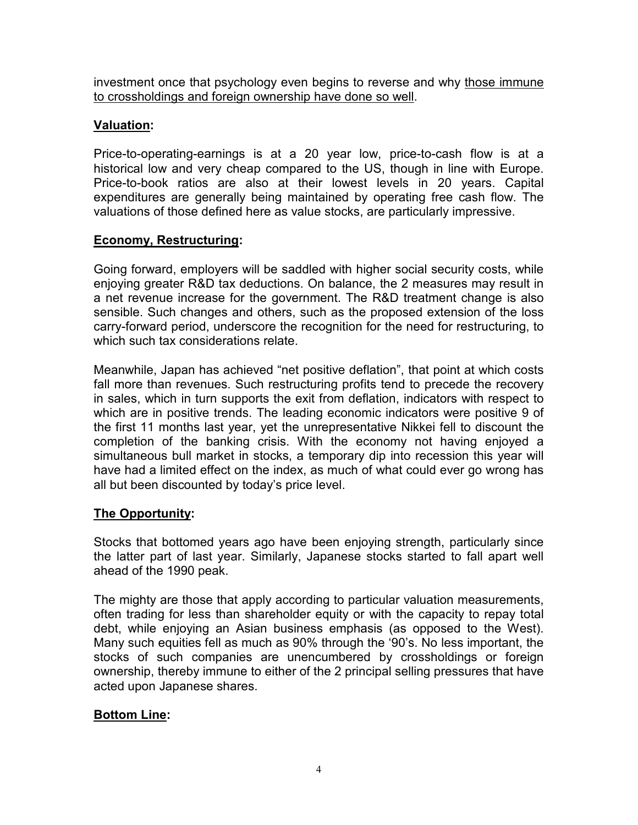investment once that psychology even begins to reverse and why those immune to crossholdings and foreign ownership have done so well.

#### **Valuation:**

Price-to-operating-earnings is at a 20 year low, price-to-cash flow is at a historical low and very cheap compared to the US, though in line with Europe. Price-to-book ratios are also at their lowest levels in 20 years. Capital expenditures are generally being maintained by operating free cash flow. The valuations of those defined here as value stocks, are particularly impressive.

#### **Economy, Restructuring:**

Going forward, employers will be saddled with higher social security costs, while enjoying greater R&D tax deductions. On balance, the 2 measures may result in a net revenue increase for the government. The R&D treatment change is also sensible. Such changes and others, such as the proposed extension of the loss carry-forward period, underscore the recognition for the need for restructuring, to which such tax considerations relate.

Meanwhile, Japan has achieved "net positive deflation", that point at which costs fall more than revenues. Such restructuring profits tend to precede the recovery in sales, which in turn supports the exit from deflation, indicators with respect to which are in positive trends. The leading economic indicators were positive 9 of the first 11 months last year, yet the unrepresentative Nikkei fell to discount the completion of the banking crisis. With the economy not having enjoyed a simultaneous bull market in stocks, a temporary dip into recession this year will have had a limited effect on the index, as much of what could ever go wrong has all but been discounted by today's price level.

#### **The Opportunity:**

Stocks that bottomed years ago have been enjoying strength, particularly since the latter part of last year. Similarly, Japanese stocks started to fall apart well ahead of the 1990 peak.

The mighty are those that apply according to particular valuation measurements, often trading for less than shareholder equity or with the capacity to repay total debt, while enjoying an Asian business emphasis (as opposed to the West). Many such equities fell as much as 90% through the '90's. No less important, the stocks of such companies are unencumbered by crossholdings or foreign ownership, thereby immune to either of the 2 principal selling pressures that have acted upon Japanese shares.

#### **Bottom Line:**